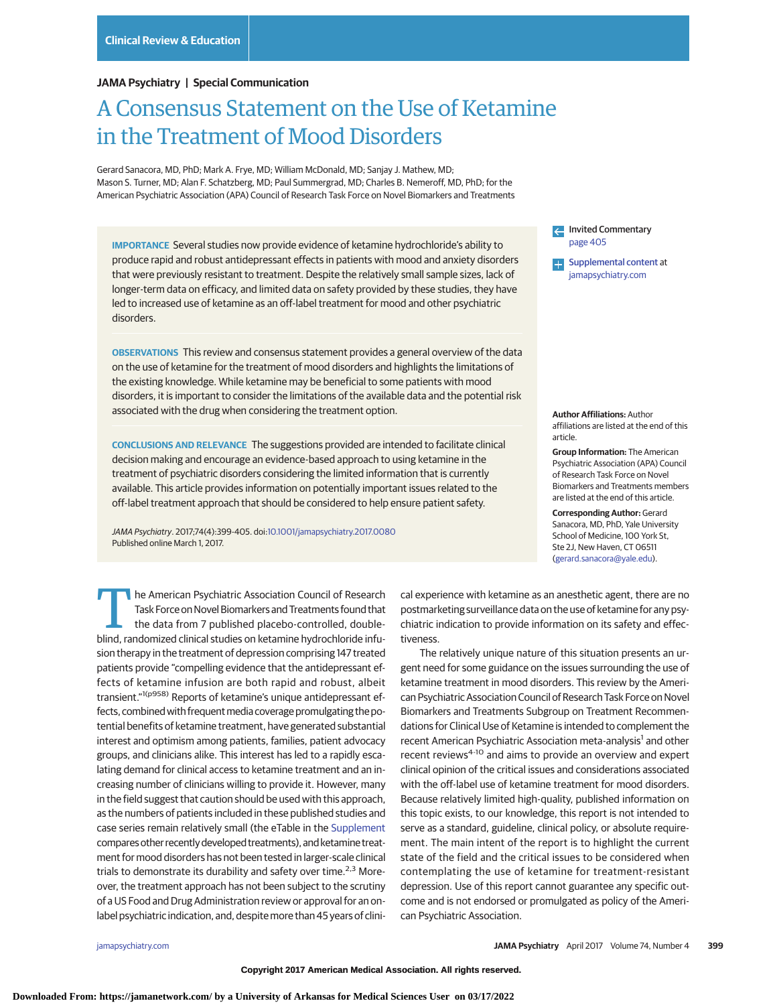#### **JAMA Psychiatry | Special Communication**

# A Consensus Statement on the Use of Ketamine in the Treatment of Mood Disorders

Gerard Sanacora, MD, PhD; Mark A. Frye, MD; William McDonald, MD; Sanjay J. Mathew, MD; Mason S. Turner, MD; Alan F. Schatzberg, MD; Paul Summergrad, MD; Charles B. Nemeroff, MD, PhD; for the American Psychiatric Association (APA) Council of Research Task Force on Novel Biomarkers and Treatments

**IMPORTANCE** Several studies now provide evidence of ketamine hydrochloride's ability to produce rapid and robust antidepressant effects in patients with mood and anxiety disorders that were previously resistant to treatment. Despite the relatively small sample sizes, lack of longer-term data on efficacy, and limited data on safety provided by these studies, they have led to increased use of ketamine as an off-label treatment for mood and other psychiatric disorders.

**OBSERVATIONS** This review and consensus statement provides a general overview of the data on the use of ketamine for the treatment of mood disorders and highlights the limitations of the existing knowledge. While ketamine may be beneficial to some patients with mood disorders, it is important to consider the limitations of the available data and the potential risk associated with the drug when considering the treatment option.

**CONCLUSIONS AND RELEVANCE** The suggestions provided are intended to facilitate clinical decision making and encourage an evidence-based approach to using ketamine in the treatment of psychiatric disorders considering the limited information that is currently available. This article provides information on potentially important issues related to the off-label treatment approach that should be considered to help ensure patient safety.

JAMA Psychiatry. 2017;74(4):399-405. doi[:10.1001/jamapsychiatry.2017.0080](http://jama.jamanetwork.com/article.aspx?doi=10.1001/jamapsychiatry.2017.0080&utm_campaign=articlePDF%26utm_medium=articlePDFlink%26utm_source=articlePDF%26utm_content=jamapsychiatry.2017.0080) Published online March 1, 2017.

The American Psychiatric Association Council of Research<br>
Task Force on Novel Biomarkers and Treatments found that<br>
the data from 7 published placebo-controlled, double-<br>
blind randomized clinical studies on ketamine bydro Task Force on Novel Biomarkers and Treatments found that blind, randomized clinical studies on ketamine hydrochloride infusion therapy in the treatment of depression comprising 147 treated patients provide "compelling evidence that the antidepressant effects of ketamine infusion are both rapid and robust, albeit transient."1(p958) Reports of ketamine's unique antidepressant effects, combined with frequent media coverage promulgating the potential benefits of ketamine treatment, have generated substantial interest and optimism among patients, families, patient advocacy groups, and clinicians alike. This interest has led to a rapidly escalating demand for clinical access to ketamine treatment and an increasing number of clinicians willing to provide it. However, many in the field suggest that caution should be used with this approach, as the numbers of patients included in these published studies and case series remain relatively small (the eTable in the [Supplement](http://jama.jamanetwork.com/article.aspx?doi=10.1001/jamapsychiatry.2017.0080&utm_campaign=articlePDF%26utm_medium=articlePDFlink%26utm_source=articlePDF%26utm_content=jamapsychiatry.2017.0080) compares other recently developed treatments), and ketamine treatment for mood disorders has not been tested in larger-scale clinical trials to demonstrate its durability and safety over time.<sup>2,3</sup> Moreover, the treatment approach has not been subject to the scrutiny of a US Food and Drug Administration review or approval for an onlabel psychiatric indication, and, despite more than 45 years of cliniInvited Commentary [page 405](http://jama.jamanetwork.com/article.aspx?doi=10.1001/jamapsychiatry.2017.0078&utm_campaign=articlePDF%26utm_medium=articlePDFlink%26utm_source=articlePDF%26utm_content=jamapsychiatry.2017.0080) [Supplemental content](http://jama.jamanetwork.com/article.aspx?doi=10.1001/jamapsychiatry.2017.0080&utm_campaign=articlePDF%26utm_medium=articlePDFlink%26utm_source=articlePDF%26utm_content=jamapsychiatry.2017.0080) at [jamapsychiatry.com](http://www.jamapsychiatry.com/?utm_campaign=articlePDF%26utm_medium=articlePDFlink%26utm_source=articlePDF%26utm_content=jamapsychiatry.2017.0080)

**Author Affiliations:** Author affiliations are listed at the end of this article.

**Group Information:** The American Psychiatric Association (APA) Council of Research Task Force on Novel Biomarkers and Treatments members are listed at the end of this article.

**Corresponding Author:** Gerard Sanacora, MD, PhD, Yale University School of Medicine, 100 York St, Ste 2J, New Haven, CT 06511 [\(gerard.sanacora@yale.edu\)](mailto:gerard.sanacora@yale.edu).

cal experience with ketamine as an anesthetic agent, there are no postmarketing surveillance data on the use of ketamine for any psychiatric indication to provide information on its safety and effectiveness.

The relatively unique nature of this situation presents an urgent need for some guidance on the issues surrounding the use of ketamine treatment in mood disorders. This review by the American Psychiatric Association Council of Research Task Force on Novel Biomarkers and Treatments Subgroup on Treatment Recommendations for Clinical Use of Ketamine is intended to complement the recent American Psychiatric Association meta-analysis<sup>1</sup> and other recent reviews<sup>4-10</sup> and aims to provide an overview and expert clinical opinion of the critical issues and considerations associated with the off-label use of ketamine treatment for mood disorders. Because relatively limited high-quality, published information on this topic exists, to our knowledge, this report is not intended to serve as a standard, guideline, clinical policy, or absolute requirement. The main intent of the report is to highlight the current state of the field and the critical issues to be considered when contemplating the use of ketamine for treatment-resistant depression. Use of this report cannot guarantee any specific outcome and is not endorsed or promulgated as policy of the American Psychiatric Association.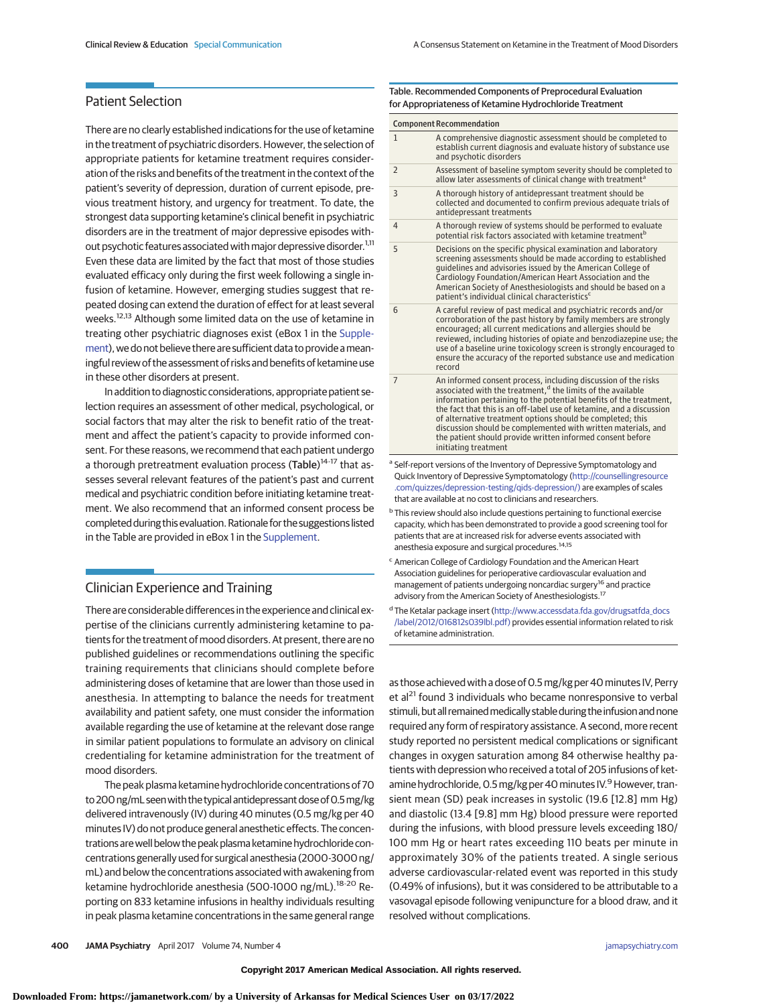# Patient Selection

There are no clearly established indications for the use of ketamine in the treatment of psychiatric disorders. However, the selection of appropriate patients for ketamine treatment requires consideration of the risks and benefits of the treatment in the context of the patient's severity of depression, duration of current episode, previous treatment history, and urgency for treatment. To date, the strongest data supporting ketamine's clinical benefit in psychiatric disorders are in the treatment of major depressive episodes without psychotic features associated with major depressive disorder.<sup>1,11</sup> Even these data are limited by the fact that most of those studies evaluated efficacy only during the first week following a single infusion of ketamine. However, emerging studies suggest that repeated dosing can extend the duration of effect for at least several weeks.<sup>12,13</sup> Although some limited data on the use of ketamine in treating other psychiatric diagnoses exist (eBox 1 in the [Supple](http://jama.jamanetwork.com/article.aspx?doi=10.1001/jamapsychiatry.2017.0080&utm_campaign=articlePDF%26utm_medium=articlePDFlink%26utm_source=articlePDF%26utm_content=jamapsychiatry.2017.0080)[ment\)](http://jama.jamanetwork.com/article.aspx?doi=10.1001/jamapsychiatry.2017.0080&utm_campaign=articlePDF%26utm_medium=articlePDFlink%26utm_source=articlePDF%26utm_content=jamapsychiatry.2017.0080), we do not believe there are sufficient data to provide ameaningful review of the assessment of risks and benefits of ketamine use in these other disorders at present.

In addition to diagnostic considerations, appropriate patient selection requires an assessment of other medical, psychological, or social factors that may alter the risk to benefit ratio of the treatment and affect the patient's capacity to provide informed consent. For these reasons, we recommend that each patient undergo a thorough pretreatment evaluation process (Table)<sup>14-17</sup> that assesses several relevant features of the patient's past and current medical and psychiatric condition before initiating ketamine treatment. We also recommend that an informed consent process be completed during thisevaluation. Rationale for the suggestions listed in the Table are provided in eBox 1 in the [Supplement.](http://jama.jamanetwork.com/article.aspx?doi=10.1001/jamapsychiatry.2017.0080&utm_campaign=articlePDF%26utm_medium=articlePDFlink%26utm_source=articlePDF%26utm_content=jamapsychiatry.2017.0080)

# Clinician Experience and Training

There are considerable differences in the experience and clinical expertise of the clinicians currently administering ketamine to patients for the treatment of mood disorders. At present, there are no published guidelines or recommendations outlining the specific training requirements that clinicians should complete before administering doses of ketamine that are lower than those used in anesthesia. In attempting to balance the needs for treatment availability and patient safety, one must consider the information available regarding the use of ketamine at the relevant dose range in similar patient populations to formulate an advisory on clinical credentialing for ketamine administration for the treatment of mood disorders.

The peak plasma ketamine hydrochloride concentrations of 70 to 200 ng/mL seen with the typical antidepressant dose of 0.5 mg/kg delivered intravenously (IV) during 40 minutes (0.5 mg/kg per 40 minutes IV) do not produce general anesthetic effects. The concentrations arewell below the peak plasma ketamine hydrochloride concentrations generally used for surgical anesthesia (2000-3000 ng/ mL) and below the concentrations associated with awakening from ketamine hydrochloride anesthesia (500-1000 ng/mL).<sup>18-20</sup> Reporting on 833 ketamine infusions in healthy individuals resulting in peak plasma ketamine concentrations in the same general range

#### Table. Recommended Components of Preprocedural Evaluation for Appropriateness of Ketamine Hydrochloride Treatment

| <b>Component Recommendation</b>                                                                                                                                                                                                                                                                  |                                                                                                                                                                                                                                                                                                                                                                                                                                                                                                              |
|--------------------------------------------------------------------------------------------------------------------------------------------------------------------------------------------------------------------------------------------------------------------------------------------------|--------------------------------------------------------------------------------------------------------------------------------------------------------------------------------------------------------------------------------------------------------------------------------------------------------------------------------------------------------------------------------------------------------------------------------------------------------------------------------------------------------------|
| $\mathbf{1}$                                                                                                                                                                                                                                                                                     | A comprehensive diagnostic assessment should be completed to<br>establish current diagnosis and evaluate history of substance use<br>and psychotic disorders                                                                                                                                                                                                                                                                                                                                                 |
| $\overline{2}$                                                                                                                                                                                                                                                                                   | Assessment of baseline symptom severity should be completed to<br>allow later assessments of clinical change with treatment <sup>a</sup>                                                                                                                                                                                                                                                                                                                                                                     |
| 3                                                                                                                                                                                                                                                                                                | A thorough history of antidepressant treatment should be<br>collected and documented to confirm previous adequate trials of<br>antidepressant treatments                                                                                                                                                                                                                                                                                                                                                     |
| $\overline{4}$                                                                                                                                                                                                                                                                                   | A thorough review of systems should be performed to evaluate<br>potential risk factors associated with ketamine treatment <sup>b</sup>                                                                                                                                                                                                                                                                                                                                                                       |
| 5                                                                                                                                                                                                                                                                                                | Decisions on the specific physical examination and laboratory<br>screening assessments should be made according to established<br>quidelines and advisories issued by the American College of<br>Cardiology Foundation/American Heart Association and the<br>American Society of Anesthesiologists and should be based on a<br>patient's individual clinical characteristics <sup>c</sup>                                                                                                                    |
| 6                                                                                                                                                                                                                                                                                                | A careful review of past medical and psychiatric records and/or<br>corroboration of the past history by family members are strongly<br>encouraged; all current medications and allergies should be<br>reviewed, including histories of opiate and benzodiazepine use; the<br>use of a baseline urine toxicology screen is strongly encouraged to<br>ensure the accuracy of the reported substance use and medication<br>record                                                                               |
| $\overline{7}$                                                                                                                                                                                                                                                                                   | An informed consent process, including discussion of the risks<br>associated with the treatment, <sup>d</sup> the limits of the available<br>information pertaining to the potential benefits of the treatment,<br>the fact that this is an off-label use of ketamine, and a discussion<br>of alternative treatment options should be completed; this<br>discussion should be complemented with written materials, and<br>the patient should provide written informed consent before<br>initiating treatment |
| a Self-report versions of the Inventory of Depressive Symptomatology and<br>Quick Inventory of Depressive Symptomatology (http://counsellingresource<br>.com/quizzes/depression-testing/qids-depression/) are examples of scales<br>that are available at no cost to clinicians and researchers. |                                                                                                                                                                                                                                                                                                                                                                                                                                                                                                              |

<sup>b</sup> This review should also include questions pertaining to functional exercise capacity, which has been demonstrated to provide a good screening tool for patients that are at increased risk for adverse events associated with anesthesia exposure and surgical procedures.14,15

- <sup>c</sup> American College of Cardiology Foundation and the American Heart Association guidelines for perioperative cardiovascular evaluation and management of patients undergoing noncardiac surgery<sup>16</sup> and practice advisory from the American Society of Anesthesiologists.<sup>17</sup>
- <sup>d</sup> The Ketalar package insert [\(http://www.accessdata.fda.gov/drugsatfda\\_docs](http://www.accessdata.fda.gov/drugsatfda_docs/label/2012/016812s039lbl.pdf) [/label/2012/016812s039lbl.pdf\)](http://www.accessdata.fda.gov/drugsatfda_docs/label/2012/016812s039lbl.pdf) provides essential information related to risk of ketamine administration.

as those achieved with a dose of 0.5 mg/kg per 40 minutes IV, Perry et al<sup>21</sup> found 3 individuals who became nonresponsive to verbal stimuli, but all remained medically stable during the infusion and none required any form of respiratory assistance. A second, more recent study reported no persistent medical complications or significant changes in oxygen saturation among 84 otherwise healthy patients with depression who received a total of 205 infusions of ketamine hydrochloride, 0.5 mg/kg per 40 minutes IV.<sup>9</sup> However, transient mean (SD) peak increases in systolic (19.6 [12.8] mm Hg) and diastolic (13.4 [9.8] mm Hg) blood pressure were reported during the infusions, with blood pressure levels exceeding 180/ 100 mm Hg or heart rates exceeding 110 beats per minute in approximately 30% of the patients treated. A single serious adverse cardiovascular-related event was reported in this study (0.49% of infusions), but it was considered to be attributable to a vasovagal episode following venipuncture for a blood draw, and it resolved without complications.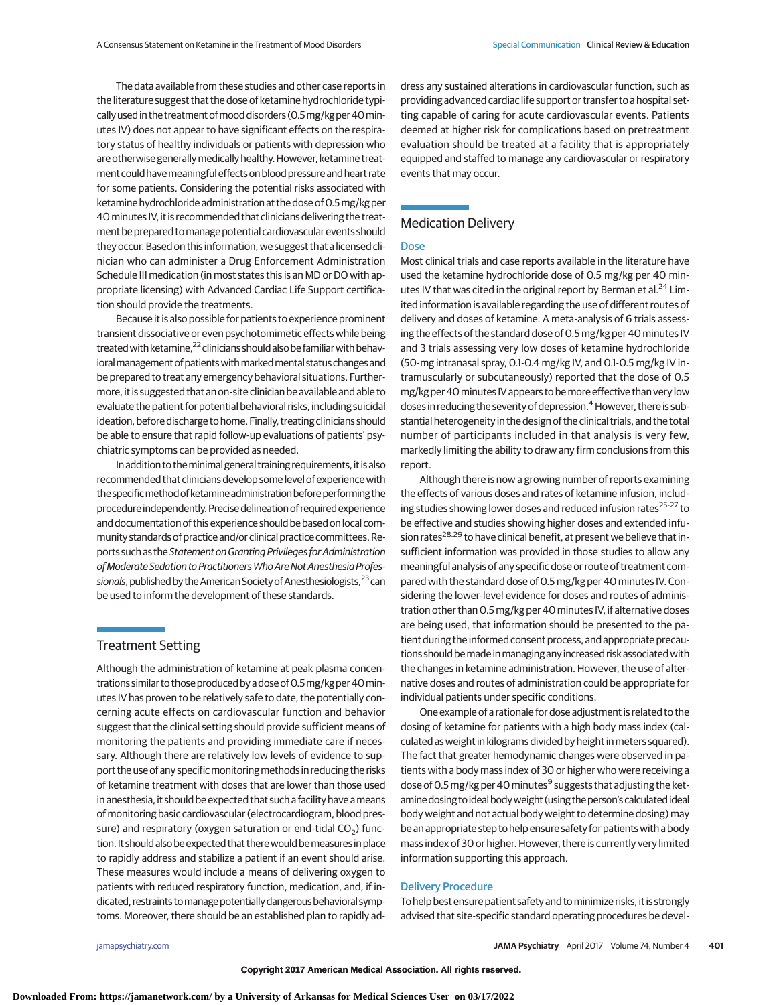The data available from these studies and other case reports in the literature suggest that the dose of ketamine hydrochloride typically used in the treatment ofmood disorders (0.5mg/kg per 40minutes IV) does not appear to have significant effects on the respiratory status of healthy individuals or patients with depression who are otherwise generally medically healthy. However, ketamine treatment could have meaningful effects on blood pressure and heart rate for some patients. Considering the potential risks associated with ketamine hydrochloride administration at the dose of 0.5mg/kg per 40minutes IV, it is recommended that clinicians delivering the treatment be prepared tomanage potential cardiovascular events should they occur. Based on this information, we suggest that a licensed clinician who can administer a Drug Enforcement Administration Schedule III medication (in most states this is an MD or DO with appropriate licensing) with Advanced Cardiac Life Support certification should provide the treatments.

Because it is also possible for patients to experience prominent transient dissociative or even psychotomimetic effects while being treated with ketamine,<sup>22</sup> clinicians should also be familiar with behavioral management of patients with marked mental status changes and be prepared to treat any emergency behavioral situations. Furthermore, it is suggested that an on-site clinician be available and able to evaluate the patient for potential behavioral risks, including suicidal ideation, before discharge to home. Finally, treating clinicians should be able to ensure that rapid follow-up evaluations of patients' psychiatric symptoms can be provided as needed.

In addition to the minimal general training requirements, it is also recommended that clinicians develop some level of experience with the specific method of ketamine administration before performing the procedure independently. Precise delineation of required experience and documentation of this experience should be based on local community standards of practice and/or clinical practice committees. Reports such as the Statement on Granting Privileges for Administration of Moderate Sedation to Practitioners Who Are Not Anesthesia Professionals, published by the American Society of Anesthesiologists,<sup>23</sup> can be used to inform the development of these standards.

## Treatment Setting

Although the administration of ketamine at peak plasma concentrations similar to those produced by a dose of 0.5 mg/kg per 40 minutes IV has proven to be relatively safe to date, the potentially concerning acute effects on cardiovascular function and behavior suggest that the clinical setting should provide sufficient means of monitoring the patients and providing immediate care if necessary. Although there are relatively low levels of evidence to support the use of any specificmonitoringmethods in reducing the risks of ketamine treatment with doses that are lower than those used in anesthesia, it should be expected that such a facility have ameans of monitoring basic cardiovascular (electrocardiogram, blood pressure) and respiratory (oxygen saturation or end-tidal  $CO<sub>2</sub>$ ) function. It should also be expected that there would be measures in place to rapidly address and stabilize a patient if an event should arise. These measures would include a means of delivering oxygen to patients with reduced respiratory function, medication, and, if indicated, restraints tomanage potentially dangerous behavioral symptoms. Moreover, there should be an established plan to rapidly address any sustained alterations in cardiovascular function, such as providing advanced cardiac life support or transfer to a hospital setting capable of caring for acute cardiovascular events. Patients deemed at higher risk for complications based on pretreatment evaluation should be treated at a facility that is appropriately equipped and staffed to manage any cardiovascular or respiratory events that may occur.

# Medication Delivery

#### Dose

Most clinical trials and case reports available in the literature have used the ketamine hydrochloride dose of 0.5 mg/kg per 40 minutes IV that was cited in the original report by Berman et al.<sup>24</sup> Limited information is available regarding the use of different routes of delivery and doses of ketamine. A meta-analysis of 6 trials assessing the effects of the standard dose of 0.5 mg/kg per 40 minutes IV and 3 trials assessing very low doses of ketamine hydrochloride (50-mg intranasal spray, 0.1-0.4 mg/kg IV, and 0.1-0.5 mg/kg IV intramuscularly or subcutaneously) reported that the dose of 0.5 mg/kg per 40minutes IV appears to bemore effective than very low doses in reducing the severity of depression.<sup>4</sup> However, there is substantial heterogeneity in the design of the clinical trials, and the total number of participants included in that analysis is very few, markedly limiting the ability to draw any firm conclusions from this report.

Although there is now a growing number of reports examining the effects of various doses and rates of ketamine infusion, including studies showing lower doses and reduced infusion rates<sup>25-27</sup> to be effective and studies showing higher doses and extended infusion rates<sup>28,29</sup> to have clinical benefit, at present we believe that insufficient information was provided in those studies to allow any meaningful analysis of any specific dose or route of treatment compared with the standard dose of 0.5 mg/kg per 40 minutes IV. Considering the lower-level evidence for doses and routes of administration other than 0.5 mg/kg per 40 minutes IV, if alternative doses are being used, that information should be presented to the patient during the informed consent process, and appropriate precautions should be made in managing any increased risk associated with the changes in ketamine administration. However, the use of alternative doses and routes of administration could be appropriate for individual patients under specific conditions.

One example of a rationale for dose adjustment is related to the dosing of ketamine for patients with a high body mass index (calculated as weight in kilograms divided by height inmeters squared). The fact that greater hemodynamic changes were observed in patients with a body mass index of 30 or higher who were receiving a dose of 0.5 mg/kg per 40 minutes<sup>9</sup> suggests that adjusting the ketamine dosing to ideal bodyweight (using the person's calculated ideal body weight and not actual body weight to determine dosing) may be an appropriate step to help ensure safety for patients with a body mass index of 30 or higher. However, there is currently very limited information supporting this approach.

#### Delivery Procedure

To help best ensure patient safety and tominimize risks, it is strongly advised that site-specific standard operating procedures be devel-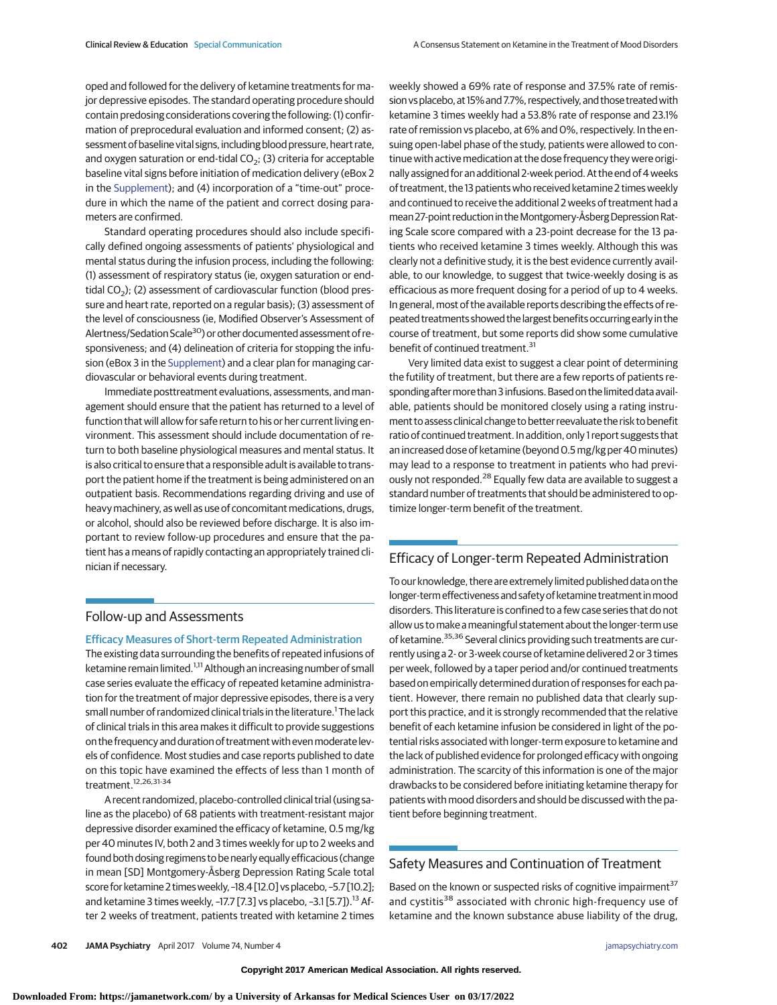oped and followed for the delivery of ketamine treatments for major depressive episodes. The standard operating procedure should contain predosing considerations covering the following: (1) confirmation of preprocedural evaluation and informed consent; (2) assessment of baseline vital signs, including blood pressure, heart rate, and oxygen saturation or end-tidal  $CO<sub>2</sub>$ ; (3) criteria for acceptable baseline vital signs before initiation of medication delivery (eBox 2 in the [Supplement\)](http://jama.jamanetwork.com/article.aspx?doi=10.1001/jamapsychiatry.2017.0080&utm_campaign=articlePDF%26utm_medium=articlePDFlink%26utm_source=articlePDF%26utm_content=jamapsychiatry.2017.0080); and (4) incorporation of a "time-out" procedure in which the name of the patient and correct dosing parameters are confirmed.

Standard operating procedures should also include specifically defined ongoing assessments of patients' physiological and mental status during the infusion process, including the following: (1) assessment of respiratory status (ie, oxygen saturation or endtidal  $CO<sub>2</sub>$ ); (2) assessment of cardiovascular function (blood pressure and heart rate, reported on a regular basis); (3) assessment of the level of consciousness (ie, Modified Observer's Assessment of Alertness/Sedation Scale<sup>30</sup>) or other documented assessment of responsiveness; and (4) delineation of criteria for stopping the infusion (eBox 3 in the [Supplement\)](http://jama.jamanetwork.com/article.aspx?doi=10.1001/jamapsychiatry.2017.0080&utm_campaign=articlePDF%26utm_medium=articlePDFlink%26utm_source=articlePDF%26utm_content=jamapsychiatry.2017.0080) and a clear plan for managing cardiovascular or behavioral events during treatment.

Immediate posttreatment evaluations, assessments, and management should ensure that the patient has returned to a level of function that will allow for safe return to his or her current living environment. This assessment should include documentation of return to both baseline physiological measures and mental status. It is also critical to ensure that a responsible adult is available to transport the patient home if the treatment is being administered on an outpatient basis. Recommendations regarding driving and use of heavy machinery, as well as use of concomitant medications, drugs, or alcohol, should also be reviewed before discharge. It is also important to review follow-up procedures and ensure that the patient has a means of rapidly contacting an appropriately trained clinician if necessary.

## Follow-up and Assessments

#### Efficacy Measures of Short-term Repeated Administration

The existing data surrounding the benefits of repeated infusions of ketamine remain limited.<sup>1,11</sup> Although an increasing number of small case series evaluate the efficacy of repeated ketamine administration for the treatment of major depressive episodes, there is a very small number of randomized clinical trials in the literature.<sup>1</sup> The lack of clinical trials in this area makes it difficult to provide suggestions on the frequency and duration of treatment with evenmoderate levels of confidence. Most studies and case reports published to date on this topic have examined the effects of less than 1 month of treatment.12,26,31-34

A recent randomized, placebo-controlled clinical trial (using saline as the placebo) of 68 patients with treatment-resistant major depressive disorder examined the efficacy of ketamine, 0.5 mg/kg per 40 minutes IV, both 2 and 3 times weekly for up to 2 weeks and found both dosing regimens to be nearly equally efficacious (change in mean [SD] Montgomery-Åsberg Depression Rating Scale total score for ketamine 2 times weekly, -18.4 [12.0] vs placebo, -5.7 [10.2]; and ketamine 3 times weekly,  $-17.7$  [7.3] vs placebo,  $-3.1$  [5.7]).<sup>13</sup> After 2 weeks of treatment, patients treated with ketamine 2 times weekly showed a 69% rate of response and 37.5% rate of remission vs placebo, at 15% and 7.7%, respectively, and those treated with ketamine 3 times weekly had a 53.8% rate of response and 23.1% rate of remission vs placebo, at 6% and 0%, respectively. In the ensuing open-label phase of the study, patients were allowed to continue with active medication at the dose frequency they were originally assigned for an additional 2-week period. At the end of 4 weeks of treatment, the 13 patients who received ketamine 2 times weekly and continued to receive the additional 2 weeks of treatment had a mean 27-point reduction in the Montgomery-Åsberg Depression Rating Scale score compared with a 23-point decrease for the 13 patients who received ketamine 3 times weekly. Although this was clearly not a definitive study, it is the best evidence currently available, to our knowledge, to suggest that twice-weekly dosing is as efficacious as more frequent dosing for a period of up to 4 weeks. In general, most of the available reports describing the effects of repeated treatments showed the largest benefits occurringearly in the course of treatment, but some reports did show some cumulative benefit of continued treatment.<sup>31</sup>

Very limited data exist to suggest a clear point of determining the futility of treatment, but there are a few reports of patients responding after more than 3 infusions. Based on the limited data available, patients should be monitored closely using a rating instrument to assess clinical change to better reevaluate the risk to benefit ratio of continued treatment. In addition, only 1 report suggests that an increased dose of ketamine (beyond 0.5 mg/kg per 40 minutes) may lead to a response to treatment in patients who had previously not responded.<sup>28</sup> Equally few data are available to suggest a standard number of treatments that should be administered to optimize longer-term benefit of the treatment.

# Efficacy of Longer-term Repeated Administration

To our knowledge, there are extremely limited published data on the longer-termeffectiveness and safety of ketamine treatment inmood disorders. This literature is confined to a few case series that do not allow us to make a meaningful statement about the longer-term use of ketamine.<sup>35,36</sup> Several clinics providing such treatments are currently using a 2- or 3-week course of ketamine delivered 2 or 3 times per week, followed by a taper period and/or continued treatments based on empirically determined duration of responses for each patient. However, there remain no published data that clearly support this practice, and it is strongly recommended that the relative benefit of each ketamine infusion be considered in light of the potential risks associated with longer-term exposure to ketamine and the lack of published evidence for prolonged efficacy with ongoing administration. The scarcity of this information is one of the major drawbacks to be considered before initiating ketamine therapy for patients with mood disorders and should be discussed with the patient before beginning treatment.

## Safety Measures and Continuation of Treatment

Based on the known or suspected risks of cognitive impairment<sup>37</sup> and cystitis<sup>38</sup> associated with chronic high-frequency use of ketamine and the known substance abuse liability of the drug,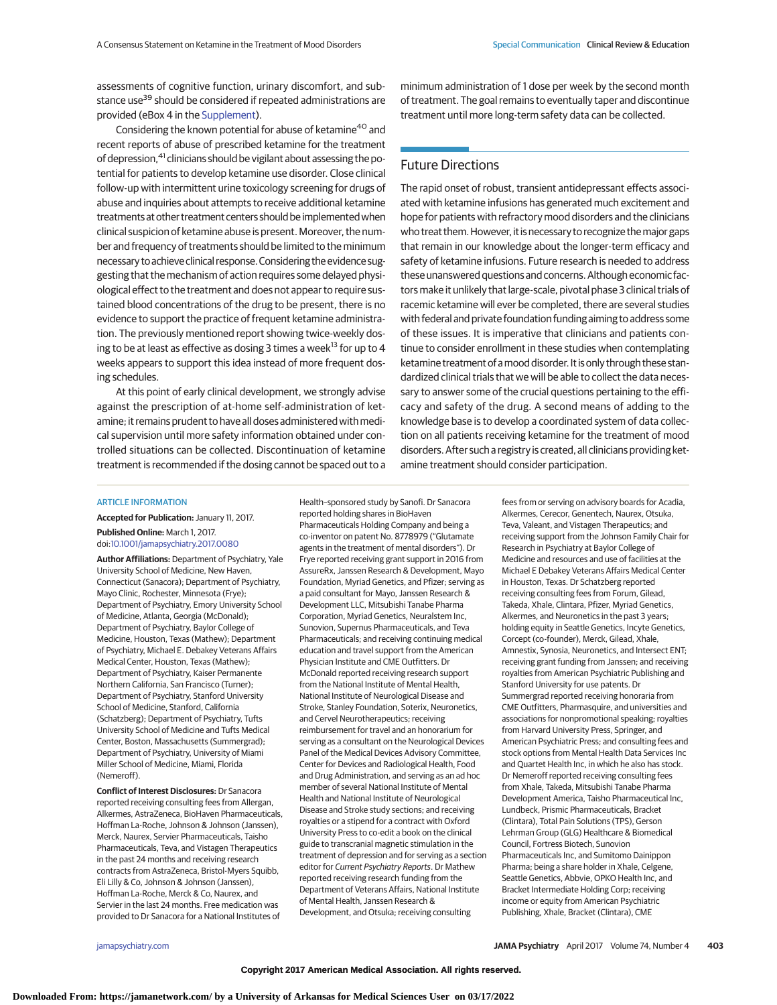assessments of cognitive function, urinary discomfort, and substance use<sup>39</sup> should be considered if repeated administrations are provided (eBox 4 in the [Supplement\)](http://jama.jamanetwork.com/article.aspx?doi=10.1001/jamapsychiatry.2017.0080&utm_campaign=articlePDF%26utm_medium=articlePDFlink%26utm_source=articlePDF%26utm_content=jamapsychiatry.2017.0080).

Considering the known potential for abuse of ketamine<sup>40</sup> and recent reports of abuse of prescribed ketamine for the treatment of depression,<sup>41</sup> clinicians should be vigilant about assessing the potential for patients to develop ketamine use disorder. Close clinical follow-up with intermittent urine toxicology screening for drugs of abuse and inquiries about attempts to receive additional ketamine treatments at other treatment centers should be implementedwhen clinical suspicion of ketamine abuse is present. Moreover, the number and frequency of treatments should be limited to the minimum necessary to achieve clinical response. Considering the evidence suggesting that the mechanism of action requires some delayed physiological effect to the treatment and does not appear to require sustained blood concentrations of the drug to be present, there is no evidence to support the practice of frequent ketamine administration. The previously mentioned report showing twice-weekly dosing to be at least as effective as dosing 3 times a week<sup>13</sup> for up to 4 weeks appears to support this idea instead of more frequent dosing schedules.

At this point of early clinical development, we strongly advise against the prescription of at-home self-administration of ketamine; it remains prudent to have all doses administered withmedical supervision until more safety information obtained under controlled situations can be collected. Discontinuation of ketamine treatment is recommended if the dosing cannot be spaced out to a minimum administration of 1 dose per week by the second month of treatment. The goal remains to eventually taper and discontinue treatment until more long-term safety data can be collected.

## Future Directions

The rapid onset of robust, transient antidepressant effects associated with ketamine infusions has generated much excitement and hope for patients with refractory mood disorders and the clinicians who treat them. However, it is necessary to recognize the major gaps that remain in our knowledge about the longer-term efficacy and safety of ketamine infusions. Future research is needed to address these unanswered questions and concerns. Although economic factors make it unlikely that large-scale, pivotal phase 3 clinical trials of racemic ketamine will ever be completed, there are several studies with federal and private foundation funding aiming to address some of these issues. It is imperative that clinicians and patients continue to consider enrollment in these studies when contemplating ketamine treatment of a mood disorder. It is only through these standardized clinical trials that we will be able to collect the data necessary to answer some of the crucial questions pertaining to the efficacy and safety of the drug. A second means of adding to the knowledge base is to develop a coordinated system of data collection on all patients receiving ketamine for the treatment of mood disorders. After such a registry is created, all clinicians providing ketamine treatment should consider participation.

#### ARTICLE INFORMATION

**Accepted for Publication:** January 11, 2017.

**Published Online:** March 1, 2017. doi[:10.1001/jamapsychiatry.2017.0080](http://jama.jamanetwork.com/article.aspx?doi=10.1001/jamapsychiatry.2017.0080&utm_campaign=articlePDF%26utm_medium=articlePDFlink%26utm_source=articlePDF%26utm_content=jamapsychiatry.2017.0080)

**Author Affiliations:** Department of Psychiatry, Yale University School of Medicine, New Haven, Connecticut (Sanacora); Department of Psychiatry, Mayo Clinic, Rochester, Minnesota (Frye); Department of Psychiatry, Emory University School of Medicine, Atlanta, Georgia (McDonald); Department of Psychiatry, Baylor College of Medicine, Houston, Texas (Mathew); Department of Psychiatry, Michael E. Debakey Veterans Affairs Medical Center, Houston, Texas (Mathew); Department of Psychiatry, Kaiser Permanente Northern California, San Francisco (Turner); Department of Psychiatry, Stanford University School of Medicine, Stanford, California (Schatzberg); Department of Psychiatry, Tufts University School of Medicine and Tufts Medical Center, Boston, Massachusetts (Summergrad); Department of Psychiatry, University of Miami Miller School of Medicine, Miami, Florida (Nemeroff).

**Conflict of Interest Disclosures:** Dr Sanacora reported receiving consulting fees from Allergan, Alkermes, AstraZeneca, BioHaven Pharmaceuticals, Hoffman La-Roche, Johnson & Johnson (Janssen), Merck, Naurex, Servier Pharmaceuticals, Taisho Pharmaceuticals, Teva, and Vistagen Therapeutics in the past 24 months and receiving research contracts from AstraZeneca, Bristol-Myers Squibb, Eli Lilly & Co, Johnson & Johnson (Janssen), Hoffman La-Roche, Merck & Co, Naurex, and Servier in the last 24 months. Free medication was provided to Dr Sanacora for a National Institutes of

Health–sponsored study by Sanofi. Dr Sanacora reported holding shares in BioHaven Pharmaceuticals Holding Company and being a co-inventor on patent No. 8778979 ("Glutamate agents in the treatment of mental disorders"). Dr Frye reported receiving grant support in 2016 from AssureRx, Janssen Research & Development, Mayo Foundation, Myriad Genetics, and Pfizer; serving as a paid consultant for Mayo, Janssen Research & Development LLC, Mitsubishi Tanabe Pharma Corporation, Myriad Genetics, Neuralstem Inc, Sunovion, Supernus Pharmaceuticals, and Teva Pharmaceuticals; and receiving continuing medical education and travel support from the American Physician Institute and CME Outfitters. Dr McDonald reported receiving research support from the National Institute of Mental Health, National Institute of Neurological Disease and Stroke, Stanley Foundation, Soterix, Neuronetics, and Cervel Neurotherapeutics; receiving reimbursement for travel and an honorarium for serving as a consultant on the Neurological Devices Panel of the Medical Devices Advisory Committee, Center for Devices and Radiological Health, Food and Drug Administration, and serving as an ad hoc member of several National Institute of Mental Health and National Institute of Neurological Disease and Stroke study sections; and receiving royalties or a stipend for a contract with Oxford University Press to co-edit a book on the clinical guide to transcranial magnetic stimulation in the treatment of depression and for serving as a section editor for Current Psychiatry Reports. Dr Mathew reported receiving research funding from the Department of Veterans Affairs, National Institute of Mental Health, Janssen Research & Development, and Otsuka; receiving consulting

fees from or serving on advisory boards for Acadia, Alkermes, Cerecor, Genentech, Naurex, Otsuka, Teva, Valeant, and Vistagen Therapeutics; and receiving support from the Johnson Family Chair for Research in Psychiatry at Baylor College of Medicine and resources and use of facilities at the Michael E Debakey Veterans Affairs Medical Center in Houston, Texas. Dr Schatzberg reported receiving consulting fees from Forum, Gilead, Takeda, Xhale, Clintara, Pfizer, Myriad Genetics, Alkermes, and Neuronetics in the past 3 years; holding equity in Seattle Genetics, Incyte Genetics, Corcept (co-founder), Merck, Gilead, Xhale, Amnestix, Synosia, Neuronetics, and Intersect ENT; receiving grant funding from Janssen; and receiving royalties from American Psychiatric Publishing and Stanford University for use patents. Dr Summergrad reported receiving honoraria from CME Outfitters, Pharmasquire, and universities and associations for nonpromotional speaking; royalties from Harvard University Press, Springer, and American Psychiatric Press; and consulting fees and stock options from Mental Health Data Services Inc and Quartet Health Inc, in which he also has stock. Dr Nemeroff reported receiving consulting fees from Xhale, Takeda, Mitsubishi Tanabe Pharma Development America, Taisho Pharmaceutical Inc, Lundbeck, Prismic Pharmaceuticals, Bracket (Clintara), Total Pain Solutions (TPS), Gerson Lehrman Group (GLG) Healthcare & Biomedical Council, Fortress Biotech, Sunovion Pharmaceuticals Inc, and Sumitomo Dainippon Pharma; being a share holder in Xhale, Celgene, Seattle Genetics, Abbvie, OPKO Health Inc, and Bracket Intermediate Holding Corp; receiving income or equity from American Psychiatric Publishing, Xhale, Bracket (Clintara), CME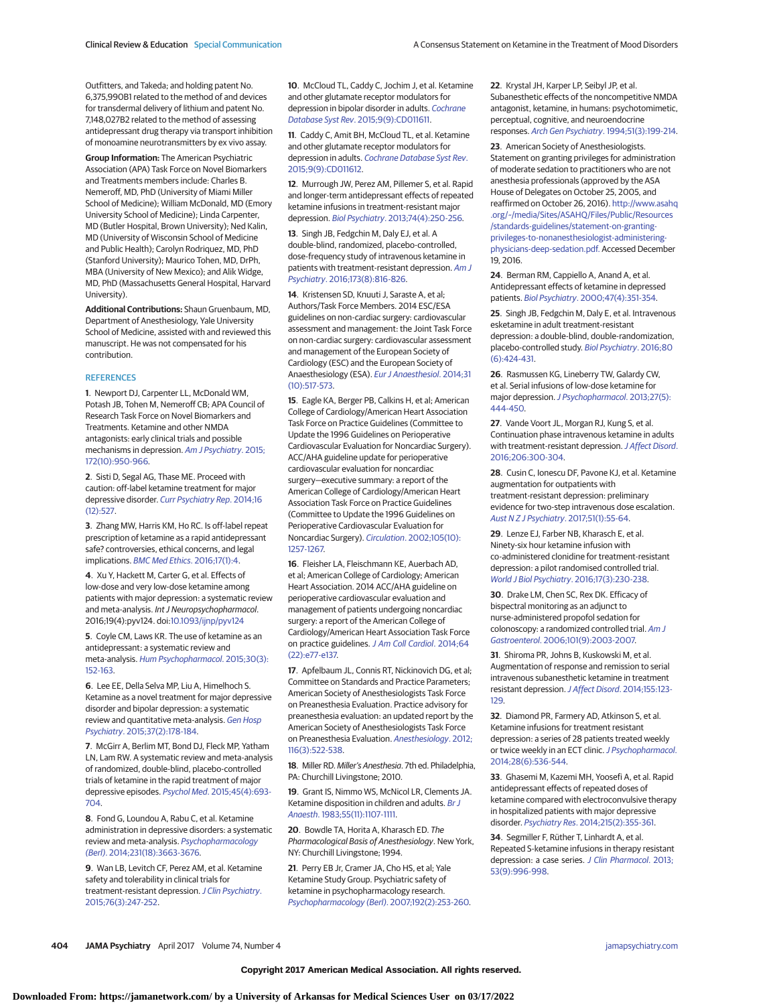Outfitters, and Takeda; and holding patent No. 6,375,990B1 related to the method of and devices for transdermal delivery of lithium and patent No. 7,148,027B2 related to the method of assessing antidepressant drug therapy via transport inhibition of monoamine neurotransmitters by ex vivo assay.

**Group Information:** The American Psychiatric Association (APA) Task Force on Novel Biomarkers and Treatments members include: Charles B. Nemeroff, MD, PhD (University of Miami Miller School of Medicine); William McDonald, MD (Emory University School of Medicine); Linda Carpenter, MD (Butler Hospital, Brown University); Ned Kalin, MD (University of Wisconsin School of Medicine and Public Health); Carolyn Rodriquez, MD, PhD (Stanford University); Maurico Tohen, MD, DrPh, MBA (University of New Mexico); and Alik Widge, MD, PhD (Massachusetts General Hospital, Harvard University).

**Additional Contributions:** Shaun Gruenbaum, MD, Department of Anesthesiology, Yale University School of Medicine, assisted with and reviewed this manuscript. He was not compensated for his contribution.

#### **REFERENCES**

**1**. Newport DJ, Carpenter LL, McDonald WM, Potash JB, Tohen M, Nemeroff CB; APA Council of Research Task Force on Novel Biomarkers and Treatments. Ketamine and other NMDA antagonists: early clinical trials and possible mechanisms in depression. [Am J Psychiatry](https://www.ncbi.nlm.nih.gov/pubmed/26423481). 2015; [172\(10\):950-966.](https://www.ncbi.nlm.nih.gov/pubmed/26423481)

**2**. Sisti D, Segal AG, Thase ME. Proceed with caution: off-label ketamine treatment for major depressive disorder. [Curr Psychiatry Rep](https://www.ncbi.nlm.nih.gov/pubmed/25308395). 2014;16 [\(12\):527.](https://www.ncbi.nlm.nih.gov/pubmed/25308395)

**3**. Zhang MW, Harris KM, Ho RC. Is off-label repeat prescription of ketamine as a rapid antidepressant safe? controversies, ethical concerns, and legal implications. [BMC Med Ethics](https://www.ncbi.nlm.nih.gov/pubmed/26768892). 2016;17(1):4.

**4**. Xu Y, Hackett M, Carter G, et al. Effects of low-dose and very low-dose ketamine among patients with major depression: a systematic review and meta-analysis. Int J Neuropsychopharmacol. 2016;19(4):pyv124. doi[:10.1093/ijnp/pyv124](http://dx.doi.org/10.1093/ijnp/pyv124)

**5**. Coyle CM, Laws KR. The use of ketamine as an antidepressant: a systematic review and meta-analysis. [Hum Psychopharmacol](https://www.ncbi.nlm.nih.gov/pubmed/25847818). 2015;30(3): [152-163.](https://www.ncbi.nlm.nih.gov/pubmed/25847818)

**6**. Lee EE, Della Selva MP, Liu A, Himelhoch S. Ketamine as a novel treatment for major depressive disorder and bipolar depression: a systematic review and quantitative meta-analysis. [Gen Hosp](https://www.ncbi.nlm.nih.gov/pubmed/25698228) Psychiatry[. 2015;37\(2\):178-184.](https://www.ncbi.nlm.nih.gov/pubmed/25698228)

**7**. McGirr A, Berlim MT, Bond DJ, Fleck MP, Yatham LN, Lam RW. A systematic review and meta-analysis of randomized, double-blind, placebo-controlled trials of ketamine in the rapid treatment of major depressive episodes. Psychol Med[. 2015;45\(4\):693-](https://www.ncbi.nlm.nih.gov/pubmed/25010396) [704.](https://www.ncbi.nlm.nih.gov/pubmed/25010396)

**8**. Fond G, Loundou A, Rabu C, et al. Ketamine administration in depressive disorders: a systematic review and meta-analysis. [Psychopharmacology](https://www.ncbi.nlm.nih.gov/pubmed/25038867) (Berl)[. 2014;231\(18\):3663-3676.](https://www.ncbi.nlm.nih.gov/pubmed/25038867)

**9**. Wan LB, Levitch CF, Perez AM, et al. Ketamine safety and tolerability in clinical trials for treatment-resistant depression. [J Clin Psychiatry](https://www.ncbi.nlm.nih.gov/pubmed/25271445). [2015;76\(3\):247-252.](https://www.ncbi.nlm.nih.gov/pubmed/25271445)

**10**. McCloud TL, Caddy C, Jochim J, et al. Ketamine and other glutamate receptor modulators for depression in bipolar disorder in adults. [Cochrane](https://www.ncbi.nlm.nih.gov/pubmed/26415966) Database Syst Rev[. 2015;9\(9\):CD011611.](https://www.ncbi.nlm.nih.gov/pubmed/26415966)

**11**. Caddy C, Amit BH, McCloud TL, et al. Ketamine and other glutamate receptor modulators for depression in adults. [Cochrane Database Syst Rev](https://www.ncbi.nlm.nih.gov/pubmed/26395901). [2015;9\(9\):CD011612.](https://www.ncbi.nlm.nih.gov/pubmed/26395901)

**12**. Murrough JW, Perez AM, Pillemer S, et al. Rapid and longer-term antidepressant effects of repeated ketamine infusions in treatment-resistant major depression. Biol Psychiatry[. 2013;74\(4\):250-256.](https://www.ncbi.nlm.nih.gov/pubmed/22840761)

**13**. Singh JB, Fedgchin M, Daly EJ, et al. A double-blind, randomized, placebo-controlled, dose-frequency study of intravenous ketamine in patients with treatment-resistant depression. [Am J](https://www.ncbi.nlm.nih.gov/pubmed/27056608) Psychiatry[. 2016;173\(8\):816-826.](https://www.ncbi.nlm.nih.gov/pubmed/27056608)

**14**. Kristensen SD, Knuuti J, Saraste A, et al; Authors/Task Force Members. 2014 ESC/ESA guidelines on non-cardiac surgery: cardiovascular assessment and management: the Joint Task Force on non-cardiac surgery: cardiovascular assessment and management of the European Society of Cardiology (ESC) and the European Society of Anaesthesiology (ESA). [Eur J Anaesthesiol](https://www.ncbi.nlm.nih.gov/pubmed/25127426). 2014;31 [\(10\):517-573.](https://www.ncbi.nlm.nih.gov/pubmed/25127426)

**15**. Eagle KA, Berger PB, Calkins H, et al; American College of Cardiology/American Heart Association Task Force on Practice Guidelines (Committee to Update the 1996 Guidelines on Perioperative Cardiovascular Evaluation for Noncardiac Surgery). ACC/AHA guideline update for perioperative cardiovascular evaluation for noncardiac surgery—executive summary: a report of the American College of Cardiology/American Heart Association Task Force on Practice Guidelines (Committee to Update the 1996 Guidelines on Perioperative Cardiovascular Evaluation for Noncardiac Surgery). Circulation[. 2002;105\(10\):](https://www.ncbi.nlm.nih.gov/pubmed/11889023) [1257-1267.](https://www.ncbi.nlm.nih.gov/pubmed/11889023)

**16**. Fleisher LA, Fleischmann KE, Auerbach AD, et al; American College of Cardiology; American Heart Association. 2014 ACC/AHA guideline on perioperative cardiovascular evaluation and management of patients undergoing noncardiac surgery: a report of the American College of Cardiology/American Heart Association Task Force on practice guidelines. [J Am Coll Cardiol](https://www.ncbi.nlm.nih.gov/pubmed/25091544). 2014;64 [\(22\):e77-e137.](https://www.ncbi.nlm.nih.gov/pubmed/25091544)

**17**. Apfelbaum JL, Connis RT, Nickinovich DG, et al; Committee on Standards and Practice Parameters; American Society of Anesthesiologists Task Force on Preanesthesia Evaluation. Practice advisory for preanesthesia evaluation: an updated report by the American Society of Anesthesiologists Task Force on Preanesthesia Evaluation. [Anesthesiology](https://www.ncbi.nlm.nih.gov/pubmed/22273990). 2012; [116\(3\):522-538.](https://www.ncbi.nlm.nih.gov/pubmed/22273990)

**18**. Miller RD. Miller's Anesthesia. 7th ed. Philadelphia, PA: Churchill Livingstone; 2010.

**19**. Grant IS, Nimmo WS, McNicol LR, Clements JA. Ketamine disposition in children and adults. [Br J](https://www.ncbi.nlm.nih.gov/pubmed/6639827) Anaesth[. 1983;55\(11\):1107-1111.](https://www.ncbi.nlm.nih.gov/pubmed/6639827)

**20**. Bowdle TA, Horita A, Kharasch ED. The Pharmacological Basis of Anesthesiology. New York, NY: Churchill Livingstone; 1994.

**21**. Perry EB Jr, Cramer JA, Cho HS, et al; Yale Ketamine Study Group. Psychiatric safety of ketamine in psychopharmacology research. [Psychopharmacology \(Berl\)](https://www.ncbi.nlm.nih.gov/pubmed/17458544). 2007;192(2):253-260. **22**. Krystal JH, Karper LP, Seibyl JP, et al. Subanesthetic effects of the noncompetitive NMDA antagonist, ketamine, in humans: psychotomimetic, perceptual, cognitive, and neuroendocrine responses. Arch Gen Psychiatry[. 1994;51\(3\):199-214.](https://www.ncbi.nlm.nih.gov/pubmed/8122957)

**23**. American Society of Anesthesiologists. Statement on granting privileges for administration of moderate sedation to practitioners who are not anesthesia professionals (approved by the ASA House of Delegates on October 25, 2005, and reaffirmed on October 26, 2016). [http://www.asahq](http://www.asahq.org/~/media/Sites/ASAHQ/Files/Public/Resources/standards-guidelines/statement-on-granting-privileges-to-nonanesthesiologist-administering-physicians-deep-sedation.pdf) [.org/~/media/Sites/ASAHQ/Files/Public/Resources](http://www.asahq.org/~/media/Sites/ASAHQ/Files/Public/Resources/standards-guidelines/statement-on-granting-privileges-to-nonanesthesiologist-administering-physicians-deep-sedation.pdf) [/standards-guidelines/statement-on-granting](http://www.asahq.org/~/media/Sites/ASAHQ/Files/Public/Resources/standards-guidelines/statement-on-granting-privileges-to-nonanesthesiologist-administering-physicians-deep-sedation.pdf)[privileges-to-nonanesthesiologist-administering](http://www.asahq.org/~/media/Sites/ASAHQ/Files/Public/Resources/standards-guidelines/statement-on-granting-privileges-to-nonanesthesiologist-administering-physicians-deep-sedation.pdf)[physicians-deep-sedation.pdf.](http://www.asahq.org/~/media/Sites/ASAHQ/Files/Public/Resources/standards-guidelines/statement-on-granting-privileges-to-nonanesthesiologist-administering-physicians-deep-sedation.pdf) Accessed December 19, 2016.

**24**. Berman RM, Cappiello A, Anand A, et al. Antidepressant effects of ketamine in depressed patients. Biol Psychiatry[. 2000;47\(4\):351-354.](https://www.ncbi.nlm.nih.gov/pubmed/10686270)

**25**. Singh JB, Fedgchin M, Daly E, et al. Intravenous esketamine in adult treatment-resistant depression: a double-blind, double-randomization, placebo-controlled study. [Biol Psychiatry](https://www.ncbi.nlm.nih.gov/pubmed/26707087). 2016;80 [\(6\):424-431.](https://www.ncbi.nlm.nih.gov/pubmed/26707087)

**26**. Rasmussen KG, Lineberry TW, Galardy CW, et al. Serial infusions of low-dose ketamine for major depression. [J Psychopharmacol](https://www.ncbi.nlm.nih.gov/pubmed/23428794). 2013;27(5): [444-450.](https://www.ncbi.nlm.nih.gov/pubmed/23428794)

**27**. Vande Voort JL, Morgan RJ, Kung S, et al. Continuation phase intravenous ketamine in adults with treatment-resistant depression. [J Affect Disord](https://www.ncbi.nlm.nih.gov/pubmed/27656788). [2016;206:300-304.](https://www.ncbi.nlm.nih.gov/pubmed/27656788)

**28**. Cusin C, Ionescu DF, Pavone KJ, et al. Ketamine augmentation for outpatients with treatment-resistant depression: preliminary evidence for two-step intravenous dose escalation. [Aust N Z J Psychiatry](https://www.ncbi.nlm.nih.gov/pubmed/26893373). 2017;51(1):55-64.

**29**. Lenze EJ, Farber NB, Kharasch E, et al. Ninety-six hour ketamine infusion with co-administered clonidine for treatment-resistant depression: a pilot randomised controlled trial. [World J Biol Psychiatry](https://www.ncbi.nlm.nih.gov/pubmed/26919405). 2016;17(3):230-238.

**30**. Drake LM, Chen SC, Rex DK. Efficacy of bispectral monitoring as an adjunct to nurse-administered propofol sedation for colonoscopy: a randomized controlled trial. [Am J](https://www.ncbi.nlm.nih.gov/pubmed/16968506) Gastroenterol[. 2006;101\(9\):2003-2007.](https://www.ncbi.nlm.nih.gov/pubmed/16968506)

**31**. Shiroma PR, Johns B, Kuskowski M, et al. Augmentation of response and remission to serial intravenous subanesthetic ketamine in treatment resistant depression.J Affect Disord[. 2014;155:123-](https://www.ncbi.nlm.nih.gov/pubmed/24268616) [129.](https://www.ncbi.nlm.nih.gov/pubmed/24268616)

**32**. Diamond PR, Farmery AD, Atkinson S, et al. Ketamine infusions for treatment resistant depression: a series of 28 patients treated weekly or twice weekly in an ECT clinic. [J Psychopharmacol](https://www.ncbi.nlm.nih.gov/pubmed/24699062). [2014;28\(6\):536-544.](https://www.ncbi.nlm.nih.gov/pubmed/24699062)

**33**. Ghasemi M, Kazemi MH, Yoosefi A, et al. Rapid antidepressant effects of repeated doses of ketamine compared with electroconvulsive therapy in hospitalized patients with major depressive disorder. Psychiatry Res[. 2014;215\(2\):355-361.](https://www.ncbi.nlm.nih.gov/pubmed/24374115)

**34**. Segmiller F, Rüther T, Linhardt A, et al. Repeated S-ketamine infusions in therapy resistant depression: a case series. [J Clin Pharmacol](https://www.ncbi.nlm.nih.gov/pubmed/23893490). 2013; [53\(9\):996-998.](https://www.ncbi.nlm.nih.gov/pubmed/23893490)